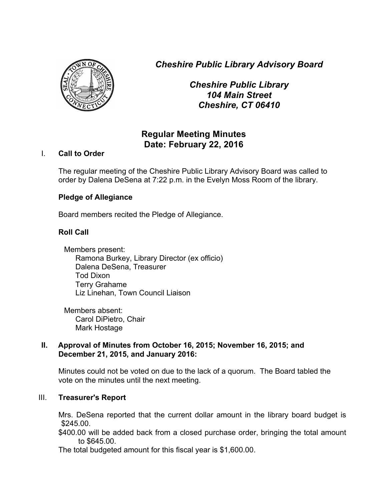*Cheshire Public Library Advisory Board*



*Cheshire Public Library 104 Main Street Cheshire, CT 06410*

# **Regular Meeting Minutes Date: February 22, 2016**

# I. **Call to Order**

The regular meeting of the Cheshire Public Library Advisory Board was called to order by Dalena DeSena at 7:22 p.m. in the Evelyn Moss Room of the library.

# **Pledge of Allegiance**

Board members recited the Pledge of Allegiance.

# **Roll Call**

Members present: Ramona Burkey, Library Director (ex officio) Dalena DeSena, Treasurer Tod Dixon Terry Grahame Liz Linehan, Town Council Liaison

Members absent: Carol DiPietro, Chair Mark Hostage

### **II. Approval of Minutes from October 16, 2015; November 16, 2015; and December 21, 2015, and January 2016:**

Minutes could not be voted on due to the lack of a quorum. The Board tabled the vote on the minutes until the next meeting.

# III. **Treasurer's Report**

Mrs. DeSena reported that the current dollar amount in the library board budget is \$245.00.

\$400.00 will be added back from a closed purchase order, bringing the total amount to \$645.00.

The total budgeted amount for this fiscal year is \$1,600.00.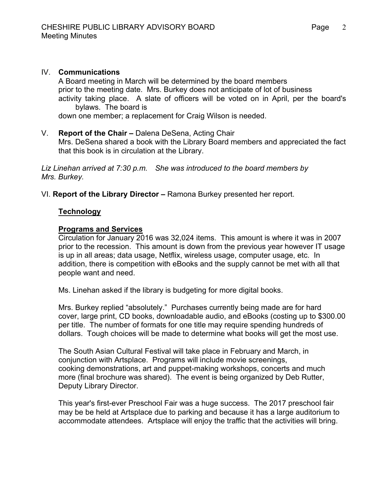### IV. **Communications**

A Board meeting in March will be determined by the board members prior to the meeting date. Mrs. Burkey does not anticipate of lot of business activity taking place. A slate of officers will be voted on in April, per the board's bylaws. The board is

down one member; a replacement for Craig Wilson is needed.

#### V. **Report of the Chair –** Dalena DeSena, Acting Chair

Mrs. DeSena shared a book with the Library Board members and appreciated the fact that this book is in circulation at the Library.

*Liz Linehan arrived at 7:30 p.m. She was introduced to the board members by Mrs. Burkey.*

VI. **Report of the Library Director –** Ramona Burkey presented her report.

### **Technology**

#### **Programs and Services**

Circulation for January 2016 was 32,024 items. This amount is where it was in 2007 prior to the recession. This amount is down from the previous year however IT usage is up in all areas; data usage, Netflix, wireless usage, computer usage, etc. In addition, there is competition with eBooks and the supply cannot be met with all that people want and need.

Ms. Linehan asked if the library is budgeting for more digital books.

Mrs. Burkey replied "absolutely." Purchases currently being made are for hard cover, large print, CD books, downloadable audio, and eBooks (costing up to \$300.00 per title. The number of formats for one title may require spending hundreds of dollars. Tough choices will be made to determine what books will get the most use.

The South Asian Cultural Festival will take place in February and March, in conjunction with Artsplace. Programs will include movie screenings, cooking demonstrations, art and puppet-making workshops, concerts and much more (final brochure was shared). The event is being organized by Deb Rutter, Deputy Library Director.

This year's first-ever Preschool Fair was a huge success. The 2017 preschool fair may be be held at Artsplace due to parking and because it has a large auditorium to accommodate attendees. Artsplace will enjoy the traffic that the activities will bring.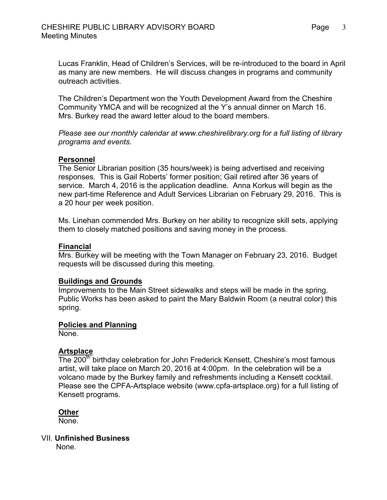Lucas Franklin, Head of Children's Services, will be re-introduced to the board in April as many are new members. He will discuss changes in programs and community outreach activities.

The Children's Department won the Youth Development Award from the Cheshire Community YMCA and will be recognized at the Y's annual dinner on March 16. Mrs. Burkey read the award letter aloud to the board members.

*Please see our monthly calendar at www.cheshirelibrary.org for a full listing of library programs and events.*

#### **Personnel**

The Senior Librarian position (35 hours/week) is being advertised and receiving responses. This is Gail Roberts' former position; Gail retired after 36 years of service. March 4, 2016 is the application deadline. Anna Korkus will begin as the new part-time Reference and Adult Services Librarian on February 29, 2016. This is a 20 hour per week position.

Ms. Linehan commended Mrs. Burkey on her ability to recognize skill sets, applying them to closely matched positions and saving money in the process.

### **Financial**

Mrs. Burkey will be meeting with the Town Manager on February 23, 2016. Budget requests will be discussed during this meeting.

#### **Buildings and Grounds**

Improvements to the Main Street sidewalks and steps will be made in the spring. Public Works has been asked to paint the Mary Baldwin Room (a neutral color) this spring.

### **Policies and Planning**

None.

# **Artsplace**

The 200<sup>th</sup> birthday celebration for John Frederick Kensett, Cheshire's most famous artist, will take place on March 20, 2016 at 4:00pm. In the celebration will be a volcano made by the Burkey family and refreshments including a Kensett cocktail. Please see the CPFA-Artsplace website (www.cpfa-artsplace.org) for a full listing of Kensett programs.

#### **Other**

None.

#### VII. **Unfinished Business**

None.